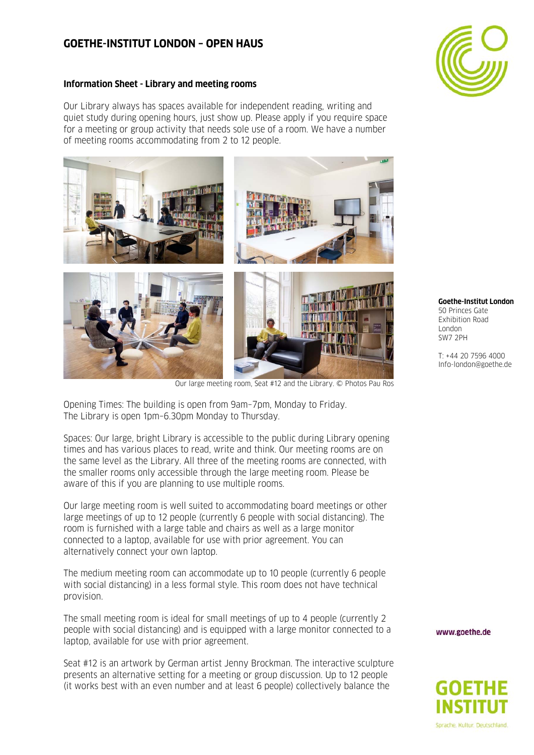## **GOETHE-INSTITUT LONDON – OPEN HAUS**



## **Information Sheet - Library and meeting rooms**

Our Library always has spaces available for independent reading, writing and quiet study during opening hours, just show up. Please apply if you require space for a meeting or group activity that needs sole use of a room. We have a number of meeting rooms accommodating from 2 to 12 people.



Our large meeting room, Seat #12 and the Library. © Photos Pau Ros

Opening Times: The building is open from 9am–7pm, Monday to Friday. The Library is open 1pm–6.30pm Monday to Thursday.

Spaces: Our large, bright Library is accessible to the public during Library opening times and has various places to read, write and think. Our meeting rooms are on the same level as the Library. All three of the meeting rooms are connected, with the smaller rooms only accessible through the large meeting room. Please be aware of this if you are planning to use multiple rooms.

Our large meeting room is well suited to accommodating board meetings or other large meetings of up to 12 people (currently 6 people with social distancing). The room is furnished with a large table and chairs as well as a large monitor connected to a laptop, available for use with prior agreement. You can alternatively connect your own laptop.

The medium meeting room can accommodate up to 10 people (currently 6 people with social distancing) in a less formal style. This room does not have technical provision.

The small meeting room is ideal for small meetings of up to 4 people (currently 2 people with social distancing) and is equipped with a large monitor connected to a laptop, available for use with prior agreement.

Seat #12 is an artwork by German artist Jenny Brockman. The interactive sculpture presents an alternative setting for a meeting or group discussion. Up to 12 people (it works best with an even number and at least 6 people) collectively balance the

## **Goethe-Institut London**  50 Princes Gate Exhibition Road London SW7 2PH

T: +44 20 7596 4000 Info-london@goethe.de

www.goethe.de